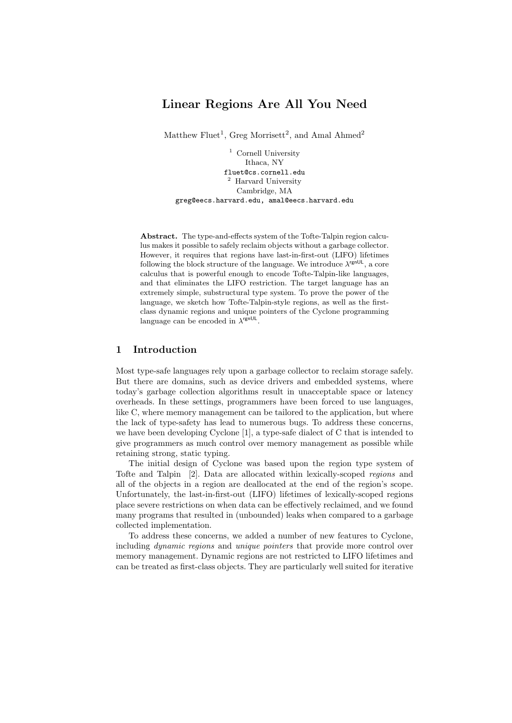# Linear Regions Are All You Need

Matthew Fluet<sup>1</sup>, Greg Morrisett<sup>2</sup>, and Amal Ahmed<sup>2</sup>

<sup>1</sup> Cornell University Ithaca, NY fluet@cs.cornell.edu <sup>2</sup> Harvard University Cambridge, MA greg@eecs.harvard.edu, amal@eecs.harvard.edu

Abstract. The type-and-effects system of the Tofte-Talpin region calculus makes it possible to safely reclaim objects without a garbage collector. However, it requires that regions have last-in-first-out (LIFO) lifetimes following the block structure of the language. We introduce  $\lambda^{\text{rgnUL}}$ , a core calculus that is powerful enough to encode Tofte-Talpin-like languages, and that eliminates the LIFO restriction. The target language has an extremely simple, substructural type system. To prove the power of the language, we sketch how Tofte-Talpin-style regions, as well as the firstclass dynamic regions and unique pointers of the Cyclone programming language can be encoded in  $\lambda^{\text{rgnUL}}$ .

#### 1 Introduction

Most type-safe languages rely upon a garbage collector to reclaim storage safely. But there are domains, such as device drivers and embedded systems, where today's garbage collection algorithms result in unacceptable space or latency overheads. In these settings, programmers have been forced to use languages, like C, where memory management can be tailored to the application, but where the lack of type-safety has lead to numerous bugs. To address these concerns, we have been developing Cyclone [1], a type-safe dialect of C that is intended to give programmers as much control over memory management as possible while retaining strong, static typing.

The initial design of Cyclone was based upon the region type system of Tofte and Talpin [2]. Data are allocated within lexically-scoped regions and all of the objects in a region are deallocated at the end of the region's scope. Unfortunately, the last-in-first-out (LIFO) lifetimes of lexically-scoped regions place severe restrictions on when data can be effectively reclaimed, and we found many programs that resulted in (unbounded) leaks when compared to a garbage collected implementation.

To address these concerns, we added a number of new features to Cyclone, including dynamic regions and unique pointers that provide more control over memory management. Dynamic regions are not restricted to LIFO lifetimes and can be treated as first-class objects. They are particularly well suited for iterative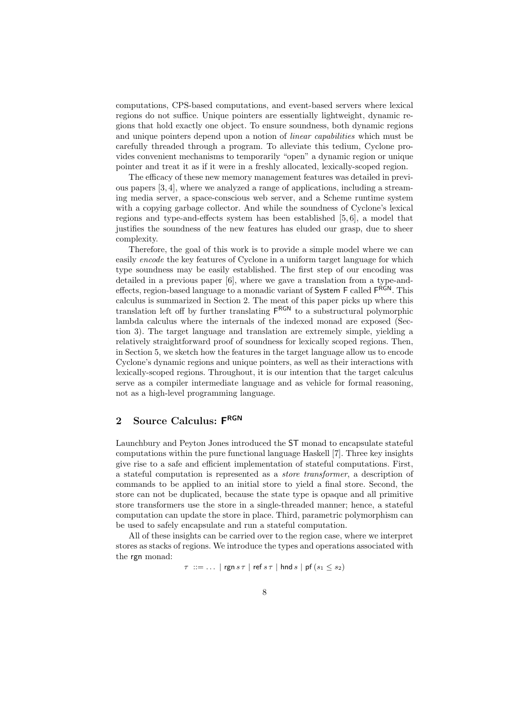computations, CPS-based computations, and event-based servers where lexical regions do not suffice. Unique pointers are essentially lightweight, dynamic regions that hold exactly one object. To ensure soundness, both dynamic regions and unique pointers depend upon a notion of linear capabilities which must be carefully threaded through a program. To alleviate this tedium, Cyclone provides convenient mechanisms to temporarily "open" a dynamic region or unique pointer and treat it as if it were in a freshly allocated, lexically-scoped region.

The efficacy of these new memory management features was detailed in previous papers [3, 4], where we analyzed a range of applications, including a streaming media server, a space-conscious web server, and a Scheme runtime system with a copying garbage collector. And while the soundness of Cyclone's lexical regions and type-and-effects system has been established [5, 6], a model that justifies the soundness of the new features has eluded our grasp, due to sheer complexity.

Therefore, the goal of this work is to provide a simple model where we can easily encode the key features of Cyclone in a uniform target language for which type soundness may be easily established. The first step of our encoding was detailed in a previous paper [6], where we gave a translation from a type-andeffects, region-based language to a monadic variant of System F called F<sup>RGN</sup>. This calculus is summarized in Section 2. The meat of this paper picks up where this translation left off by further translating  $F^{RGN}$  to a substructural polymorphic lambda calculus where the internals of the indexed monad are exposed (Section 3). The target language and translation are extremely simple, yielding a relatively straightforward proof of soundness for lexically scoped regions. Then, in Section 5, we sketch how the features in the target language allow us to encode Cyclone's dynamic regions and unique pointers, as well as their interactions with lexically-scoped regions. Throughout, it is our intention that the target calculus serve as a compiler intermediate language and as vehicle for formal reasoning, not as a high-level programming language.

## 2 Source Calculus: F<sup>RGN</sup>

Launchbury and Peyton Jones introduced the ST monad to encapsulate stateful computations within the pure functional language Haskell [7]. Three key insights give rise to a safe and efficient implementation of stateful computations. First, a stateful computation is represented as a store transformer, a description of commands to be applied to an initial store to yield a final store. Second, the store can not be duplicated, because the state type is opaque and all primitive store transformers use the store in a single-threaded manner; hence, a stateful computation can update the store in place. Third, parametric polymorphism can be used to safely encapsulate and run a stateful computation.

All of these insights can be carried over to the region case, where we interpret stores as stacks of regions. We introduce the types and operations associated with the rgn monad:

$$
\tau ::= \dots \mid \text{rgn } s\,\tau \mid \text{ref } s\,\tau \mid \text{hnd } s \mid \text{pf } (s_1 \leq s_2)
$$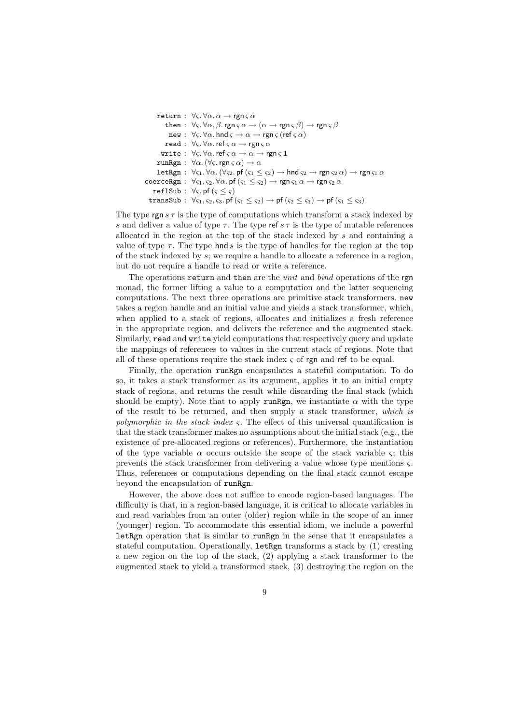```
return : \forall \varsigma \ldotp \forall \alpha \ldotp \alpha \rightarrow \text{rgn } \varsigma \alphathen : \forall \varsigma \ldotp \forall \alpha, \beta. rgn \varsigma \alpha \rightarrow (\alpha \rightarrow \text{rgn } \varsigma \beta) \rightarrow \text{rgn } \varsigma \betanew : \forall \varsigma. \forall \alpha. hnd \varsigma \rightarrow \alpha \rightarrow rgn \varsigma (ref \varsigma \alpha)
                  read : \forall \varsigma. \forall \alpha. ref \varsigma \alpha \rightarrow rgn \varsigma \alphawrite : \forall \varsigma. \forall \alpha. ref \varsigma \alpha \rightarrow \alpha \rightarrow rgn\varsigma \mathbf{1}runRgn : \forall \alpha. (\forall \varsigma. rgn \varsigma \alpha) \rightarrow \alphaletRgn : \forall \varsigma_1. \forall \alpha. (\forall \varsigma_2. \text{pf } (\varsigma_1 \leq \varsigma_2) \rightarrow \text{hnd } \varsigma_2 \rightarrow \text{rgn } \varsigma_2 \alpha) \rightarrow \text{rgn } \varsigma_1 \alpha\mathtt{coerceRgn} : \forall \varsigma_1, \varsigma_2. \forall \alpha. \mathsf{pf} \ (\varsigma_1 \leq \varsigma_2) \rightarrow \mathsf{rgn} \ \varsigma_1 \ \alpha \rightarrow \mathsf{rgn} \ \varsigma_2 \ \alphareflSub : \forall \varsigma. pf (\varsigma \leq \varsigma)transSub : \forall \varsigma_1, \varsigma_2, \varsigma_3. pf (\varsigma_1 \leq \varsigma_2) \rightarrow pf (\varsigma_2 \leq \varsigma_3) \rightarrow pf (\varsigma_1 \leq \varsigma_3)
```
The type rgn  $s\tau$  is the type of computations which transform a stack indexed by s and deliver a value of type  $\tau$ . The type ref  $s\tau$  is the type of mutable references allocated in the region at the top of the stack indexed by s and containing a value of type  $\tau$ . The type hnd s is the type of handles for the region at the top of the stack indexed by s; we require a handle to allocate a reference in a region, but do not require a handle to read or write a reference.

The operations return and then are the *unit* and *bind* operations of the rgn monad, the former lifting a value to a computation and the latter sequencing computations. The next three operations are primitive stack transformers. new takes a region handle and an initial value and yields a stack transformer, which, when applied to a stack of regions, allocates and initializes a fresh reference in the appropriate region, and delivers the reference and the augmented stack. Similarly, read and write yield computations that respectively query and update the mappings of references to values in the current stack of regions. Note that all of these operations require the stack index  $\zeta$  of rgn and ref to be equal.

Finally, the operation runRgn encapsulates a stateful computation. To do so, it takes a stack transformer as its argument, applies it to an initial empty stack of regions, and returns the result while discarding the final stack (which should be empty). Note that to apply runRgn, we instantiate  $\alpha$  with the type of the result to be returned, and then supply a stack transformer, which is polymorphic in the stack index  $\varsigma$ . The effect of this universal quantification is that the stack transformer makes no assumptions about the initial stack (e.g., the existence of pre-allocated regions or references). Furthermore, the instantiation of the type variable  $\alpha$  occurs outside the scope of the stack variable  $\varsigma$ ; this prevents the stack transformer from delivering a value whose type mentions  $\varsigma$ . Thus, references or computations depending on the final stack cannot escape beyond the encapsulation of runRgn.

However, the above does not suffice to encode region-based languages. The difficulty is that, in a region-based language, it is critical to allocate variables in and read variables from an outer (older) region while in the scope of an inner (younger) region. To accommodate this essential idiom, we include a powerful letRgn operation that is similar to runRgn in the sense that it encapsulates a stateful computation. Operationally, letRgn transforms a stack by (1) creating a new region on the top of the stack, (2) applying a stack transformer to the augmented stack to yield a transformed stack, (3) destroying the region on the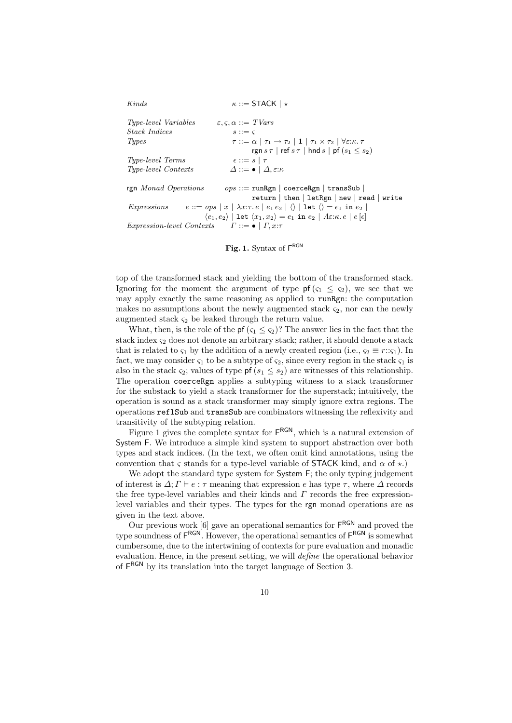$Kinds$   $\kappa ::=$  STACK  $\vert \star$ Type-level Variables  $\varepsilon, \varsigma, \alpha ::= TVars$ Stack Indices  $s ::= \varsigma$ Types  $\tau ::= \alpha \mid \tau_1 \rightarrow \tau_2 \mid 1 \mid \tau_1 \times \tau_2 \mid \forall \varepsilon: \kappa. \tau$ rgn  $s \tau$  | ref  $s \tau$  | hnd  $s$  | pf  $(s_1 \leq s_2)$ Type-level Terms  $\epsilon ::= s \mid \tau$ Type-level Contexts  $\Delta ::= \bullet \mid \Delta, \varepsilon:\kappa$ rgn  $Monad$   $Operations$   $ops ::= \text{runRgn}$   $|$   $coerce$ Rgn  $|$   $transSub$ return | then | letRgn | new | read | write Expressions  $e ::= ops | x | \lambda x{:}\tau.e | e_1 e_2 | \langle \rangle |$  let  $\langle \rangle = e_1$  in  $e_2 |$  $\langle e_1, e_2 \rangle$  | let  $\langle x_1, x_2 \rangle = e_1$  in  $e_2$  |  $\Lambda \varepsilon:\kappa.\ e \mid e \in$ Expression-level Contexts  $\Gamma ::= \bullet | \Gamma, x : \tau$ 

Fig. 1. Syntax of  $F^{RGN}$ 

top of the transformed stack and yielding the bottom of the transformed stack. Ignoring for the moment the argument of type pf  $(\varsigma_1 \leq \varsigma_2)$ , we see that we may apply exactly the same reasoning as applied to runRgn: the computation makes no assumptions about the newly augmented stack  $\varsigma_2$ , nor can the newly augmented stack  $\varsigma_2$  be leaked through the return value.

What, then, is the role of the **pf**  $(\varsigma_1 \leq \varsigma_2)$ ? The answer lies in the fact that the stack index  $\varsigma_2$  does not denote an arbitrary stack; rather, it should denote a stack that is related to  $\varsigma_1$  by the addition of a newly created region (i.e.,  $\varsigma_2 \equiv r::\varsigma_1$ ). In fact, we may consider  $\varsigma_1$  to be a subtype of  $\varsigma_2$ , since every region in the stack  $\varsigma_1$  is also in the stack  $\varsigma_2$ ; values of type pf  $(s_1 \leq s_2)$  are witnesses of this relationship. The operation coerceRgn applies a subtyping witness to a stack transformer for the substack to yield a stack transformer for the superstack; intuitively, the operation is sound as a stack transformer may simply ignore extra regions. The operations reflSub and transSub are combinators witnessing the reflexivity and transitivity of the subtyping relation.

Figure 1 gives the complete syntax for  $F^{RGN}$ , which is a natural extension of System F. We introduce a simple kind system to support abstraction over both types and stack indices. (In the text, we often omit kind annotations, using the convention that  $\varsigma$  stands for a type-level variable of **STACK** kind, and  $\alpha$  of  $\star$ .)

We adopt the standard type system for System F; the only typing judgement of interest is  $\Delta; \Gamma \vdash e : \tau$  meaning that expression e has type  $\tau$ , where  $\Delta$  records the free type-level variables and their kinds and Γ records the free expressionlevel variables and their types. The types for the rgn monad operations are as given in the text above.

Our previous work [6] gave an operational semantics for  $F^{RGN}$  and proved the type soundness of  $\mathsf{F}^{\mathsf{RGN}}$ . However, the operational semantics of  $\mathsf{F}^{\mathsf{RGN}}$  is somewhat cumbersome, due to the intertwining of contexts for pure evaluation and monadic evaluation. Hence, in the present setting, we will define the operational behavior of  $F^{RGN}$  by its translation into the target language of Section 3.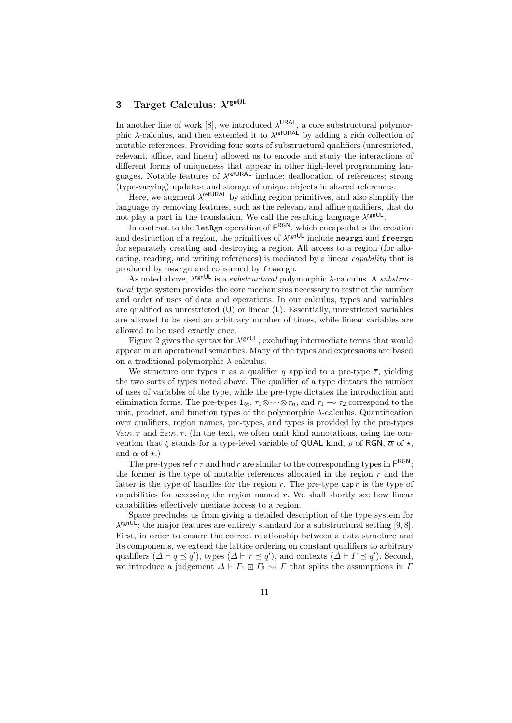## 3 Target Calculus:  $\lambda^{\text{rgnUL}}$

In another line of work [8], we introduced  $\lambda^{URAL}$ , a core substructural polymorphic  $\lambda$ -calculus, and then extended it to  $\lambda^{\text{refURAL}}$  by adding a rich collection of mutable references. Providing four sorts of substructural qualifiers (unrestricted, relevant, affine, and linear) allowed us to encode and study the interactions of different forms of uniqueness that appear in other high-level programming languages. Notable features of  $\lambda^{\text{refURAL}}$  include: deallocation of references; strong (type-varying) updates; and storage of unique objects in shared references.

Here, we augment  $\lambda^{\text{refURAL}}$  by adding region primitives, and also simplify the language by removing features, such as the relevant and affine qualifiers, that do not play a part in the translation. We call the resulting language  $\lambda^{\text{rgnUL}}$ .

In contrast to the letRgn operation of  $F^{RGN}$ , which encapsulates the creation and destruction of a region, the primitives of  $\lambda^{\mathsf{rgnUL}}$  include newrgn and freergn for separately creating and destroying a region. All access to a region (for allocating, reading, and writing references) is mediated by a linear capability that is produced by newrgn and consumed by freergn.

As noted above,  $\lambda^{\text{rgnUL}}$  is a *substructural* polymorphic  $\lambda$ -calculus. A *substruc*tural type system provides the core mechanisms necessary to restrict the number and order of uses of data and operations. In our calculus, types and variables are qualified as unrestricted  $(U)$  or linear  $(L)$ . Essentially, unrestricted variables are allowed to be used an arbitrary number of times, while linear variables are allowed to be used exactly once.

Figure 2 gives the syntax for  $\lambda^{\text{rgnUL}}$ , excluding intermediate terms that would appear in an operational semantics. Many of the types and expressions are based on a traditional polymorphic  $\lambda$ -calculus.

We structure our types  $\tau$  as a qualifier q applied to a pre-type  $\overline{\tau}$ , yielding the two sorts of types noted above. The qualifier of a type dictates the number of uses of variables of the type, while the pre-type dictates the introduction and elimination forms. The pre-types  $1_{\otimes}$ ,  $\tau_1 \otimes \cdots \otimes \tau_n$ , and  $\tau_1 \multimap \tau_2$  correspond to the unit, product, and function types of the polymorphic  $\lambda$ -calculus. Quantification over qualifiers, region names, pre-types, and types is provided by the pre-types  $\forall \varepsilon:\kappa.\tau$  and  $\exists \varepsilon:\kappa.\tau$ . (In the text, we often omit kind annotations, using the convention that  $\xi$  stands for a type-level variable of QUAL kind,  $\rho$  of RGN,  $\overline{\alpha}$  of  $\overline{\star}$ , and  $\alpha$  of  $\star$ .)

The pre-types ref  $r \tau$  and hnd r are similar to the corresponding types in  $\mathsf{F}^{\mathsf{RGN}}$ ; the former is the type of mutable references allocated in the region  $r$  and the latter is the type of handles for the region r. The pre-type cap r is the type of capabilities for accessing the region named  $r$ . We shall shortly see how linear capabilities effectively mediate access to a region.

Space precludes us from giving a detailed description of the type system for  $\lambda^{\text{rgnUL}}$ ; the major features are entirely standard for a substructural setting [9,8]. First, in order to ensure the correct relationship between a data structure and its components, we extend the lattice ordering on constant qualifiers to arbitrary qualifiers  $(\Delta \vdash q \preceq q')$ , types  $(\Delta \vdash \tau \preceq q')$ , and contexts  $(\Delta \vdash \Gamma \preceq q')$ . Second, we introduce a judgement  $\Delta \vdash \Gamma_1 \square \Gamma_2 \sim \Gamma$  that splits the assumptions in  $\Gamma$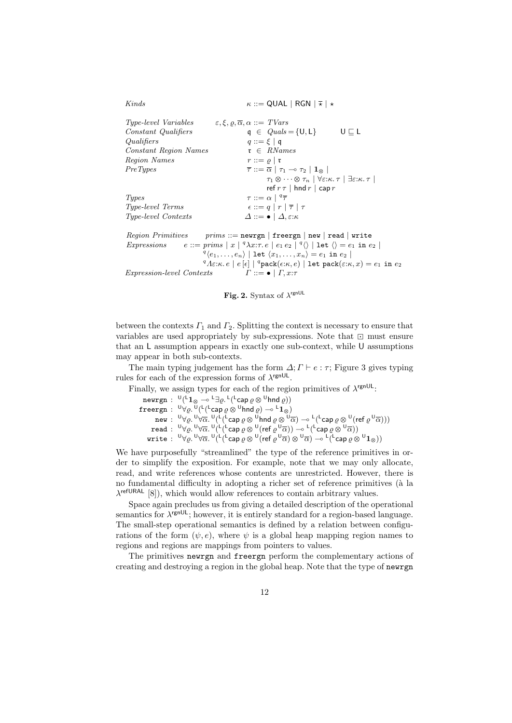| Kinds                                                                                                                                           | $\kappa ::=$ QUAL   RGN   $\overline{\star}$   $\star$                                                                                                               |  |  |  |
|-------------------------------------------------------------------------------------------------------------------------------------------------|----------------------------------------------------------------------------------------------------------------------------------------------------------------------|--|--|--|
| <i>Type-level Variables</i>                                                                                                                     | $\varepsilon, \xi, \rho, \overline{\alpha}, \alpha ::= TVars$                                                                                                        |  |  |  |
| Constant Qualifiers                                                                                                                             | $\mathfrak{q} \in Quals = \{U, L\}$<br>$U \sqsubset L$                                                                                                               |  |  |  |
| Qualifiers                                                                                                                                      | $q ::= \xi   \mathfrak{q}$                                                                                                                                           |  |  |  |
| Constant Region Names                                                                                                                           | $\mathfrak{r} \in \mathbb{R}$ Names                                                                                                                                  |  |  |  |
| Region Names                                                                                                                                    | $r ::= \rho   \mathfrak{r}$                                                                                                                                          |  |  |  |
| PreTypes                                                                                                                                        | $\overline{\tau} ::= \overline{\alpha}   \tau_1 \multimap \tau_2   \mathbf{1}_{\otimes}  $                                                                           |  |  |  |
|                                                                                                                                                 | $\tau_1 \otimes \cdots \otimes \tau_n \mid \forall \varepsilon:\kappa.\ \tau \mid \exists \varepsilon:\kappa.\ \tau \mid$                                            |  |  |  |
|                                                                                                                                                 | ref $r \tau$   hnd $r$   cap $r$                                                                                                                                     |  |  |  |
| Types                                                                                                                                           | $\tau ::= \alpha \mid {}^q\overline{\tau}$                                                                                                                           |  |  |  |
| <i>Type-level Terms</i>                                                                                                                         | $\epsilon ::= q   r   \overline{\tau}   \tau$                                                                                                                        |  |  |  |
| <i>Type-level Contexts</i>                                                                                                                      | $\Delta ::= \bullet \mid \Delta, \varepsilon: \kappa$                                                                                                                |  |  |  |
|                                                                                                                                                 |                                                                                                                                                                      |  |  |  |
| <i>Region Primitives</i> $\qquad \qquad \text{prims} ::= \text{newrgn} \mid \text{freergn} \mid \text{new} \mid \text{read} \mid \text{write}$  |                                                                                                                                                                      |  |  |  |
| Expressions $e ::= \text{prims}   x  ^q \lambda x : \tau e   e_1 e_2  ^q \langle \rangle   \text{let } \langle \rangle = e_1 \text{ in } e_2  $ |                                                                                                                                                                      |  |  |  |
|                                                                                                                                                 | $\{e_1,\ldots,e_n\}$   let $\langle x_1,\ldots,x_n\rangle=e_1$ in $e_2$                                                                                              |  |  |  |
|                                                                                                                                                 | ${}^qA\varepsilon$ : $\kappa$ . $e \mid e\left[\epsilon\right] \mid {}^q\texttt{pack}(\epsilon$ : $\kappa,e)$   let pack $(\varepsilon$ : $\kappa,x) = e_1$ in $e_2$ |  |  |  |
| <i>Expression-level Contexts</i> $\Gamma ::= \bullet   \Gamma, x : \tau$                                                                        |                                                                                                                                                                      |  |  |  |
|                                                                                                                                                 |                                                                                                                                                                      |  |  |  |



between the contexts  $\Gamma_1$  and  $\Gamma_2$ . Splitting the context is necessary to ensure that variables are used appropriately by sub-expressions. Note that  $\Box$  must ensure that an L assumption appears in exactly one sub-context, while U assumptions may appear in both sub-contexts.

The main typing judgement has the form  $\Delta; \Gamma \vdash e : \tau$ ; Figure 3 gives typing rules for each of the expression forms of  $\lambda^{\text{rgnUL}}$ .

Finally, we assign types for each of the region primitives of  $\lambda^{\text{rgnUL}}$ :

newrgn :  $\frac{U(L_8 - G L_7)}{U(L_6 - G L_8)}$  =  $\frac{U(L_8 - G L_7)}{U(L_6 - G L_8)}$  =  $\frac{U(L_8 - G L_8)}{U(L_6 - G L_8)}$ freergn :  $\frac{U\psi_{\ell}}{U\psi_{\ell}}$ ,  $\frac{U(\ell(\ell_{cap} \varrho \otimes U_{hnd} \varrho) \rightarrow \ell_{1} \otimes \ell_{\alpha})}{U(\ell(\ell_{cap} \varrho \otimes U_{hnd} \varrho \otimes U_{\alpha}) \rightarrow \ell(\ell_{cap} \varrho \otimes U_{hnd} \varrho \otimes U_{\alpha})}$ <br>
read :  $\frac{U\psi_{\ell}}{U\psi_{\ell}}$ ,  $\frac{U(\ell(\ell_{cap} \varrho \otimes U_{hnd} \varrho \otimes U_{\alpha}) \rightarrow \ell(\ell_{cap} \varrho \otimes U_{$ read:  $\frac{U\forall \varrho.\ U\forall \overline{\alpha}.\ U\left(\frac{L}{cap}\varrho\otimes\frac{U}{\varrho}\left(\frac{L}{cap}\varrho\right)\overline{\alpha}\right))\rightarrow 1\left(\frac{L}{cap}\varrho\otimes\frac{U}{\varrho}\right)$ write :  $\sqrt{U} \varphi$ .  $\sqrt{U} \pi$ .  $\sqrt{U}$  ( $\frac{1}{2}$  ( $\cos \theta$   $\sqrt{U}$  (ref  $\varrho \sqrt{U} \overline{\alpha}$ )  $\otimes \sqrt{U} \pi$ )  $\rightarrow$   $\frac{1}{2}$  ( $\frac{1}{2}$  cap  $\varrho \otimes \sqrt{U} \pi$ ))

We have purposefully "streamlined" the type of the reference primitives in order to simplify the exposition. For example, note that we may only allocate, read, and write references whose contents are unrestricted. However, there is no fundamental difficulty in adopting a richer set of reference primitives (à la  $\lambda^{\text{refURAL}}$  [8]), which would allow references to contain arbitrary values.

Space again precludes us from giving a detailed description of the operational semantics for  $\lambda^{\text{rgnUL}}$ ; however, it is entirely standard for a region-based language. The small-step operational semantics is defined by a relation between configurations of the form  $(\psi, e)$ , where  $\psi$  is a global heap mapping region names to regions and regions are mappings from pointers to values.

The primitives newrgn and freergn perform the complementary actions of creating and destroying a region in the global heap. Note that the type of newrgn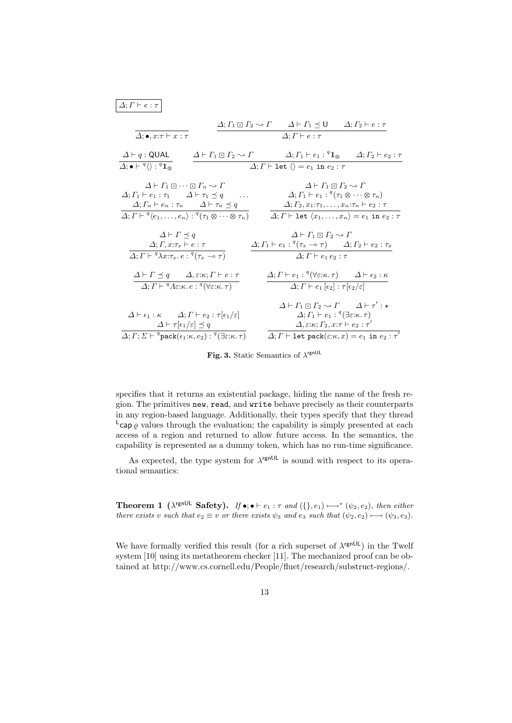| $\varDelta; \varGamma \vdash e : \tau \mid$                                                                                                                                             |                                                                                         |  |                                                                                                    |                                                                                                                                |  |
|-----------------------------------------------------------------------------------------------------------------------------------------------------------------------------------------|-----------------------------------------------------------------------------------------|--|----------------------------------------------------------------------------------------------------|--------------------------------------------------------------------------------------------------------------------------------|--|
|                                                                                                                                                                                         |                                                                                         |  |                                                                                                    | $\Delta; \Gamma_1 \boxdot \Gamma_2 \sim \Gamma$ $\Delta \vdash \Gamma_1 \preceq \mathsf{U}$ $\Delta; \Gamma_2 \vdash e : \tau$ |  |
| $\Delta; \bullet, x: \tau \vdash x : \tau$                                                                                                                                              |                                                                                         |  | $\varDelta;$ $\varGamma \vdash e : \tau$                                                           |                                                                                                                                |  |
| $\Delta \vdash q : \text{QUAL}$ $\Delta \vdash \Gamma_1 \sqcup \Gamma_2 \leadsto \Gamma$ $\Delta; \Gamma_1 \vdash e_1 : {}^q \mathbf{1}_{\otimes}$ $\Delta; \Gamma_2 \vdash e_2 : \tau$ |                                                                                         |  |                                                                                                    |                                                                                                                                |  |
| $\Delta$ ; $\bullet$ $\vdash$ $\binom{q}{\cdot}$ : $\binom{q}{\infty}$                                                                                                                  | $\Delta; \Gamma \vdash \mathtt{let} \ \langle \rangle = e_1 \mathtt{ in } \ e_2 : \tau$ |  |                                                                                                    |                                                                                                                                |  |
| $\Delta \vdash \Gamma_1 \boxdot \cdots \boxdot \Gamma_n \sim \Gamma$                                                                                                                    |                                                                                         |  | $\Delta \vdash \Gamma_1 \sqcap \Gamma_2 \rightsquigarrow \Gamma$                                   |                                                                                                                                |  |
| $\Delta; \Gamma_1 \vdash e_1 : \tau_1 \quad \Delta \vdash \tau_1 \preceq q \quad \dots$                                                                                                 |                                                                                         |  |                                                                                                    | $\Delta; \Gamma_1 \vdash e_1 : {}^q(\tau_1 \otimes \cdots \otimes \tau_n)$                                                     |  |
| $\Delta; \Gamma_n \vdash e_n : \tau_n \qquad \Delta \vdash \tau_n \preceq q$                                                                                                            |                                                                                         |  |                                                                                                    | $\Delta; \Gamma_2, x_1 : \tau_1, \ldots, x_n : \tau_n \vdash e_2 : \tau$                                                       |  |
| $\Delta; \Gamma \vdash^{q} \langle e_1, \ldots, e_n \rangle : ^{q}(\tau_1 \otimes \cdots \otimes \tau_n)$                                                                               |                                                                                         |  |                                                                                                    | $\Delta; \Gamma \vdash \texttt{let} \langle x_1, \ldots, x_n \rangle = e_1 \texttt{ in } e_2 : \tau$                           |  |
| $\Delta \vdash \Gamma \prec q$                                                                                                                                                          |                                                                                         |  | $\Delta \vdash \Gamma_1 \sqcap \Gamma_2 \rightsquigarrow \Gamma$                                   |                                                                                                                                |  |
| $\Delta; \Gamma, x: \tau_x \vdash e : \tau$                                                                                                                                             |                                                                                         |  |                                                                                                    | $\Delta; \Gamma_1 \vdash e_1 : {}^q(\tau_x \multimap \tau) \qquad \Delta; \Gamma_2 \vdash e_2 : \tau_x$                        |  |
| $\Delta; \Gamma \vdash q \lambda x: \tau_x \ldotp e : q(\tau_x \multimap \tau)$                                                                                                         |                                                                                         |  | $\Delta: \Gamma \vdash e_1 \, e_2 : \tau$                                                          |                                                                                                                                |  |
| $\Delta \vdash \Gamma \preceq q \qquad \Delta, \varepsilon: \kappa; \Gamma \vdash e : \tau$                                                                                             |                                                                                         |  |                                                                                                    | $\Delta; \Gamma \vdash e_1 : {}^q(\forall \varepsilon: \kappa. \tau) \qquad \Delta \vdash \epsilon_2 : \kappa$                 |  |
| $\Delta; \Gamma \vdash q_{\Delta \varepsilon:\kappa.\ e} : q(\forall \varepsilon:\kappa.\ \tau)$                                                                                        |                                                                                         |  | $\Delta; \Gamma \vdash e_1 \left[ \epsilon_2 \right] : \tau \left[ \epsilon_2/\varepsilon \right]$ |                                                                                                                                |  |
|                                                                                                                                                                                         |                                                                                         |  |                                                                                                    |                                                                                                                                |  |
|                                                                                                                                                                                         |                                                                                         |  |                                                                                                    | $\Delta \vdash \varGamma_1 \boxdot \varGamma_2 \leadsto \varGamma \qquad \Delta \vdash \tau' : \star$                          |  |
| $\Delta \vdash \epsilon_1 : \kappa \qquad \Delta; \Gamma \vdash e_2 : \tau[\epsilon_1/\varepsilon]$                                                                                     |                                                                                         |  | $\Delta; \Gamma_1 \vdash e_1 : {}^q(\exists \varepsilon:\kappa.\tau)$                              |                                                                                                                                |  |
| $\Delta \vdash \tau \vert \epsilon_1/\varepsilon \vert \preceq q$                                                                                                                       |                                                                                         |  | $\Delta, \varepsilon:\kappa; \Gamma_2, x:\tau \vdash e_2 : \tau'$                                  |                                                                                                                                |  |
| $\Delta; \Gamma; \Sigma \vdash^{q}$ pack $(\epsilon_1: \kappa, e_2) : {^q}(\exists \varepsilon: \kappa. \tau)$                                                                          |                                                                                         |  |                                                                                                    | $\Delta; \Gamma \vdash$ let pack $(\varepsilon:\kappa, x) = e_1$ in $e_2 : \tau'$                                              |  |
|                                                                                                                                                                                         |                                                                                         |  |                                                                                                    |                                                                                                                                |  |

Fig. 3. Static Semantics of  $\lambda^{\text{rgnUL}}$ 

specifies that it returns an existential package, hiding the name of the fresh region. The primitives new, read, and write behave precisely as their counterparts in any region-based language. Additionally, their types specify that they thread <sup>L</sup>cap  $\varrho$  values through the evaluation; the capability is simply presented at each access of a region and returned to allow future access. In the semantics, the capability is represented as a dummy token, which has no run-time significance.

As expected, the type system for  $\lambda^{\text{rgnUL}}$  is sound with respect to its operational semantics:

**Theorem 1** ( $\lambda^{\text{rgnUL}}$  **Safety).** If •;•  $\vdash e_1 : \tau$  and  $(\{\}, e_1) \longmapsto^* (\psi_2, e_2)$ , then either there exists v such that  $e_2 \equiv v$  or there exists  $\psi_3$  and  $e_3$  such that  $(\psi_2, e_2) \longmapsto (\psi_3, e_3)$ .

We have formally verified this result (for a rich superset of  $\lambda^{\text{rgnUL}}$ ) in the Twelf system [10] using its metatheorem checker [11]. The mechanized proof can be obtained at http://www.cs.cornell.edu/People/fluet/research/substruct-regions/.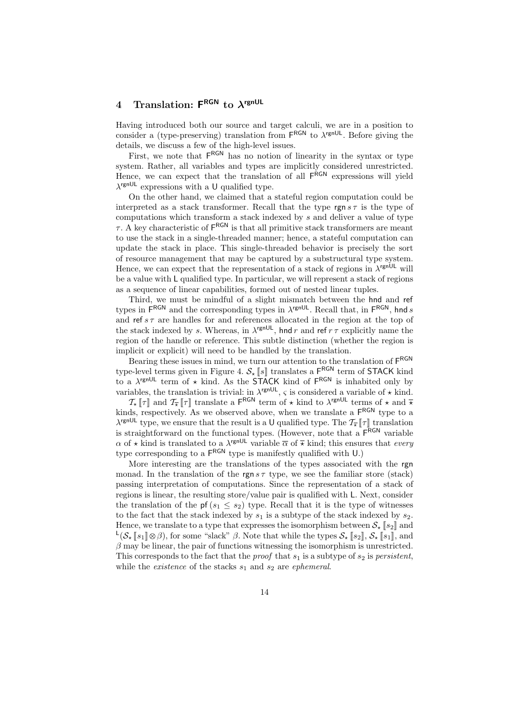## 4 Translation:  $F^{RGN}$  to  $\lambda$ <sup>rgnUL</sup>

Having introduced both our source and target calculi, we are in a position to consider a (type-preserving) translation from  $F^{RGN}$  to  $\lambda^{rgnUL}$ . Before giving the details, we discuss a few of the high-level issues.

First, we note that  $F^{RGN}$  has no notion of linearity in the syntax or type system. Rather, all variables and types are implicitly considered unrestricted. Hence, we can expect that the translation of all  $F^{RGN}$  expressions will yield  $\lambda^{\text{rgnUL}}$  expressions with a U qualified type.

On the other hand, we claimed that a stateful region computation could be interpreted as a stack transformer. Recall that the type  $\eta s \tau$  is the type of computations which transform a stack indexed by s and deliver a value of type  $\tau$ . A key characteristic of  $F^{RGN}$  is that all primitive stack transformers are meant to use the stack in a single-threaded manner; hence, a stateful computation can update the stack in place. This single-threaded behavior is precisely the sort of resource management that may be captured by a substructural type system. Hence, we can expect that the representation of a stack of regions in  $\lambda^{\text{rgnUL}}$  will be a value with L qualified type. In particular, we will represent a stack of regions as a sequence of linear capabilities, formed out of nested linear tuples.

Third, we must be mindful of a slight mismatch between the hnd and ref types in  $F^{RGN}$  and the corresponding types in  $\lambda^{rgnUL}$ . Recall that, in  $F^{RGN}$ , hnd s and ref  $s\tau$  are handles for and references allocated in the region at the top of the stack indexed by s. Whereas, in  $\lambda^{\text{rgnUL}}$ , hnd r and ref r  $\tau$  explicitly name the region of the handle or reference. This subtle distinction (whether the region is implicit or explicit) will need to be handled by the translation.

Bearing these issues in mind, we turn our attention to the translation of  $F^{RGN}$ type-level terms given in Figure 4.  $S_{\star}$  [s] translates a  $F^{RGN}$  term of STACK kind<br>to a lignal term of  $\pm$  kind. As the STACK kind of  $F^{RGN}$  is inhedited only by to a  $\lambda^{\text{rgnUL}}$  term of  $\star$  kind. As the **STACK** kind of  $F^{RGN}$  is inhabited only by variables, the translation is trivial: in  $\lambda^{\text{rgnUL}}$ ,  $\varsigma$  is considered a variable of  $\star$  kind.

 $\mathcal{T}_{\star}$   $[\![\tau]\!]$  and  $\mathcal{T}_{\overline{\star}}$   $[\![\tau]\!]$  translate a  $\mathsf{F}^{\mathsf{RGN}}$  term of  $\star$  kind to  $\lambda^{\mathsf{rgnUL}}$  terms of  $\star$  and  $\overline{\star}$ kinds, respectively. As we observed above, when we translate a  $F^{RGN}$  type to a  $\lambda^{\text{rgnUL}}$  type, we ensure that the result is a U qualified type. The  $\mathcal{T}_{\overline{\kappa}}[\![\tau]\!]$  translation<br>is straightforward on the functional types. (However, note that a E<sup>RGN</sup> variable is straightforward on the functional types. (However, note that a  $F^{RGN}$  variable  $\alpha$  of  $\star$  kind is translated to a  $\lambda^{\text{rgnUL}}$  variable  $\overline{\alpha}$  of  $\overline{\star}$  kind; this ensures that every type corresponding to a  $F^{RGN}$  type is manifestly qualified with U.)

More interesting are the translations of the types associated with the rgn monad. In the translation of the rgn  $s\tau$  type, we see the familiar store (stack) passing interpretation of computations. Since the representation of a stack of regions is linear, the resulting store/value pair is qualified with L. Next, consider the translation of the pf  $(s_1 \leq s_2)$  type. Recall that it is the type of witnesses to the fact that the stack indexed by  $s_1$  is a subtype of the stack indexed by  $s_2$ . Hence, we translate to a type that expresses the isomorphism between  $\mathcal{S}_{\star}$  [s<sub>2</sub>] and  $\mathcal{L}(\mathcal{S}_{\star}[\![s_1]\!]\otimes\beta)$ , for some "slack"  $\beta$ . Note that while the types  $\mathcal{S}_{\star}[\![s_2]\!], \mathcal{S}_{\star}[\![s_1]\!],$  and  $\beta$  move belinear, the poir of functions withosome the isomorphism is unportriated  $\beta$  may be linear, the pair of functions witnessing the isomorphism is unrestricted. This corresponds to the fact that the *proof* that  $s_1$  is a subtype of  $s_2$  is *persistent*, while the *existence* of the stacks  $s_1$  and  $s_2$  are *ephemeral*.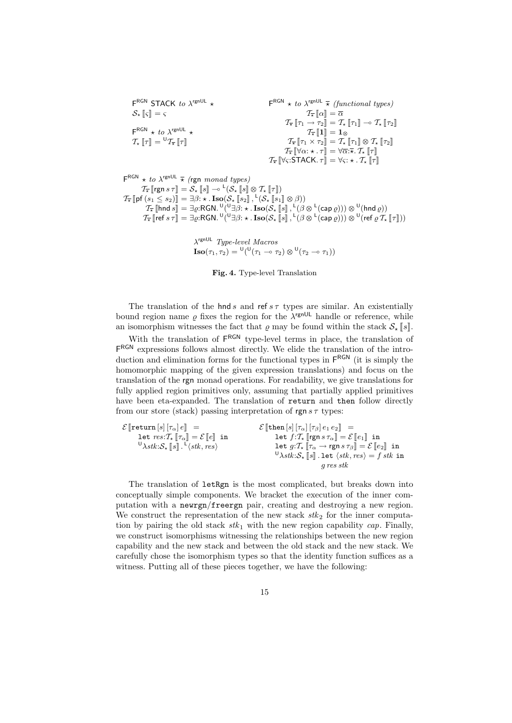| $F^{RGN}$ STACK to $\lambda^{rgnUL} \star$                                                                                         | $F^{RGN} \star to \lambda^{rgnUL} \bar{\star}$                                                                | $\mathcal{T}_{\bar{\star}} [[\alpha] = \bar{\alpha}$ |
|------------------------------------------------------------------------------------------------------------------------------------|---------------------------------------------------------------------------------------------------------------|------------------------------------------------------|
| $S_{\star} [s] = \varsigma$                                                                                                        | $\mathcal{T}_{\bar{\star}} [[\alpha] = \bar{\alpha}$                                                          |                                                      |
| $F^{RGN} \star to \lambda^{rgnUL} \star$                                                                                           | $\mathcal{T}_{\bar{\star}} [[\pi] \to \mathcal{T}_{\star} [T_2]$                                              |                                                      |
| $F^{RGN} \star to \lambda^{rgnUL} \star$                                                                                           | $\mathcal{T}_{\bar{\star}} [[\pi] \to \mathcal{T}_{\star} [T_1] \to \mathcal{T}_{\star} [T_2]$                |                                                      |
| $\mathcal{T}_{\star} [[\pi] = \upsilon \mathcal{T}_{\star} [T_1]$                                                                  | $\mathcal{T}_{\bar{\star}} [T_1 \times \tau_2] = \mathcal{T}_{\star} [T_1] \otimes \mathcal{T}_{\star} [T_2]$ |                                                      |
| $\mathcal{T}_{\star} [[\forall \alpha : \star \cdot \tau] = \forall \alpha : \star \cdot \mathcal{T}_{\star} [T_1]$                |                                                                                                               |                                                      |
| $\mathcal{T}_{\star} [[\forall \alpha : \star \cdot \tau] = \forall \varsigma : \star \cdot \mathcal{T}_{\star} [T_1]$             |                                                                                                               |                                                      |
| $\mathcal{T}_{\star} [[\forall \varsigma : \mathsf{STACK} \cdot \tau] = \forall \varsigma : \star \cdot \mathcal{T}_{\star} [T_1]$ |                                                                                                               |                                                      |

 $F^{RGN} \star to \lambda^{rgnUL} \bar{\star}$  (rgn monad types)  $\mathcal{T}_{\overline{\star}}\left[\![\operatorname{rgn}s\,\tau\right]\!]=\mathcal{S}_{\star}\left[\![s]\!\right]\multimap^{\mathsf{L}}(\mathcal{S}_{\star}\left[\![s]\!\right]\otimes\mathcal{T}_{\star}\left[\!\left[\!\left[\tau\right]\!\right]\!\right)$  $(\mathcal{S}_{\star}$  [s]  $\otimes$   $\mathcal{T}_{\star}$  [ $\tau$ ])<br> $\in$   $\mathcal{S}$   $\mathcal{T}_{\star}$  [ $\tau$ ])  $\mathcal{T}_{\overline{\star}}\left[\mathbf{p}f\left(s_1 \leq s_2\right)\right] = \exists \beta: \star \cdot \mathbf{Iso}(\mathcal{S}_{\star}\left[\hspace{-1pt}\left[s_2\right]\right], \cdot \left(\mathcal{S}_{\star}\left[\hspace{-1pt}\left[s_1\right]\right]\otimes \beta\right))$ <br> $\mathcal{T}$   $\left[\hspace{-1pt}\left[\hspace{-1pt}\left[s_1\right]\right] \leftarrow \exists \alpha: \mathbf{D} \subseteq \mathbf{N} \cup \left(\hspace{-1pt}\left[\hspace{-1pt}\left(s_1\right]\right]\right] \left(\text{mod } \mathcal{S}\right], \$  $\mathcal{T}_{\overline{x}}$  [[hnd s] =  $\exists \varrho:$ RGN.  $\bigcup_{\alpha=1}^{N} (\bigcup_{\beta=1}^{N} \mathcal{A}_{\overline{\beta}})$ ,  $\bigcup_{\alpha=1}^{N} (\bigcup_{\beta=1}^{N} \mathcal{A}_{\alpha} \setminus \{ \beta \otimes \overline{\beta}})$   $(\bigcap_{\alpha=1}^{N} \mathcal{A}_{\alpha} \setminus \{ \beta \otimes \overline{\beta}})$  $\mathcal{T}_{\overline{\star}}\left[\text{ref } s\,\tau\right]=\exists \varrho\text{:RGN.}^{\,0}\left(\begin{smallmatrix}U\end{smallmatrix}\right)\exists\beta\text{:}\star\text{.} \operatorname{Iso}\left(\mathcal{S}_{\star}\left[\!\left[s\right]\!\right],{}^{\mathsf{L}}\!\left(\beta\otimes^{\mathsf{L}}\!\left(\text{cap }\varrho\right)\right)\right)\otimes^{\mathsf{U}}\!\left(\text{ref }\varrho\,\mathcal{T}_{\star}\left[\!\left[\tau\right]\!\right)\right)$ 

> $\lambda^{\text{rgnUL}}$  Type-level Macros **Iso** $(\tau_1, \tau_2) = {}^{\mathsf{U}}({}^{\mathsf{U}}(\tau_1 \multimap \tau_2) \otimes {}^{\mathsf{U}}(\tau_2 \multimap \tau_1))$



The translation of the hnd s and ref  $s\tau$  types are similar. An existentially bound region name  $\varrho$  fixes the region for the  $\lambda^{\text{rgnUL}}$  handle or reference, while an isomorphism witnesses the fact that  $\rho$  may be found within the stack  $\mathcal{S}_{\star}$  [s].

With the translation of  $F^{RGN}$  type-level terms in place, the translation of F RGN expressions follows almost directly. We elide the translation of the introduction and elimination forms for the functional types in  $F^{RGN}$  (it is simply the homomorphic mapping of the given expression translations) and focus on the translation of the rgn monad operations. For readability, we give translations for fully applied region primitives only, assuming that partially applied primitives have been eta-expanded. The translation of return and then follow directly from our store (stack) passing interpretation of  $\text{rgn } s \tau$  types:

 $\mathcal{E}$  [return  $[s]$   $[\tau_{\alpha}]$   $e$ ] = let  $res{:}T_{\star}\llbracket \tau_{\alpha}\rrbracket = \mathcal{E}\llbracket e\rrbracket$  in  $\cup_{\lambda$ stk: $S_{\star}$  [s].  $\cdot \setminus$ stk, res $\rangle$  $\mathcal{E}$  [then  $[s] [\tau_{\alpha}] [\tau_{\beta}] e_1 e_2$ ] = let  $f: \mathcal{T}_\star \llbracket \mathsf{rgn} \, s \, \tau_\alpha \rrbracket = \mathcal{E} \llbracket e_1 \rrbracket$  in let  $g: \mathcal{T}_\star \overline{\Vert} \tau_\alpha \to \text{rgn } s \tau_\beta \overline{\Vert} = \mathcal{E} \overline{\Vert} e_2 \overline{\Vert}$  in  $U \lambda s t \hat{k} : S_* \rVert s \rVert$ . let  $\langle s t \hat{k}, res \rangle = f s t \hat{k}$  in g res stk

The translation of letRgn is the most complicated, but breaks down into conceptually simple components. We bracket the execution of the inner computation with a newrgn/freergn pair, creating and destroying a new region. We construct the representation of the new stack  $stk_2$  for the inner computation by pairing the old stack  $s k_1$  with the new region capability cap. Finally, we construct isomorphisms witnessing the relationships between the new region capability and the new stack and between the old stack and the new stack. We carefully chose the isomorphism types so that the identity function suffices as a witness. Putting all of these pieces together, we have the following: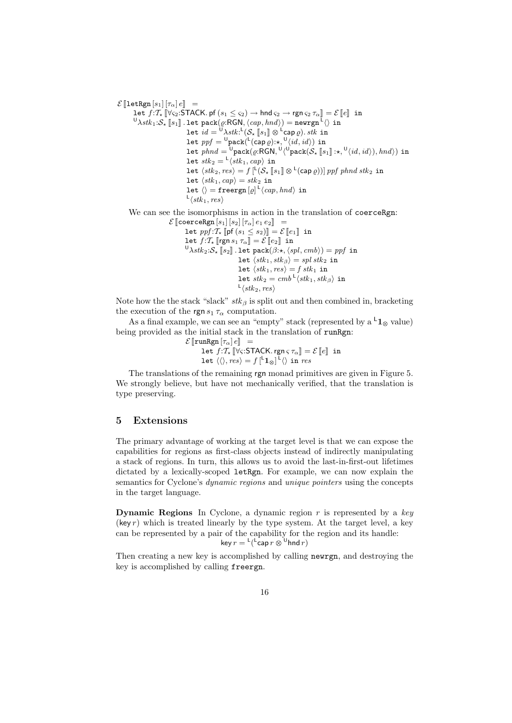$\mathcal{E}$  [letRgn  $[s_1]$   $[\tau_{\alpha}]$   $e$ ] = let  $f: \mathcal{T}_\star \left[ \forall \varsigma_2$ :STACK. pf  $(s_1 \leq \varsigma_2) \rightarrow \text{hnd } \varsigma_2 \rightarrow \text{rgn } \varsigma_2 \tau_\alpha \right] = \mathcal{E} \left[ e \right]$  in  $U_{\lambda} s t k_1 : S_* \succeq s_1 \succeq s_2 \text{last}(\varrho: RGN, \langle cap, hnd \rangle) = \text{newrgn}^L \langle \rangle \text{ in } S_*$ let  $id = \frac{0}{\lambda} s t k! \left( \mathcal{S}_\star \left[ s_1 \right] \otimes \frac{1}{\lambda} \text{cap } \varrho \right)$ . stk in let  $\mathit{ppf} = {}^{\textsf{U}}\textsf{pack}({}^{\textsf{L}}(\textsf{cap} \, \varrho){:}\star, {}^{\textsf{U}}\langle \mathit{id}, \mathit{id}\rangle)$  in let  $phnd = {}^{U}\text{pack}(e:RGN, {}^{U}\text{pack}(\mathcal{S}_\star[[s_1]]:\star, {}^{U}\langle id, id \rangle), hnd \rangle)$  in let  $stk_{2}={}^{\sf L}\langle stk_{1}, \mathit{cap}\rangle$  in let  $\langle stk_2, res \rangle = f\left[\left(\mathcal{S}_\star \llbracket s_1 \rrbracket \otimes \mathcal{L}(\text{cap } \varrho) \right) \right] ppf phnd stk_2$  in let  $\langle stk_1, cap \rangle = stk_2$  in let  $\langle \rangle = {\tt freergn}\, [\varrho]^\textsf{L} \langle \mathit{cap}, \mathit{hnd} \rangle$  in  $\mathsf{L}_{\langle stk_1,\, res \rangle}$ We can see the isomorphisms in action in the translation of coerceRgn:  $\mathcal{E}$   $\left[\texttt{coerceRgn}\left[s_{1}\right]\left[s_{2}\right]\left[\tau_{\alpha}\right]e_{1}e_{2}\right]$  = let  $ppf: \mathcal{T}_{\star}$   $\left[\mathsf{p}\mathsf{f}\left(s_{1} \leq s_{2}\right)\right] = \mathcal{E}\left[\left[e_{1}\right]\right]$  in let  $f: \mathcal{T}_\star \llbracket \text{rgn } s_1 \tau_\alpha \rrbracket = \mathcal{E} \llbracket e_2 \rrbracket$  in  $U_{\lambda s t k_2: \mathcal{S}_{\star}^{\top}[s_2]$ . let pack $(\beta:\star, \langle spl, cmb \rangle) = ppf$  in let  $\langle stk_1, stk_3 \rangle = spl stk_2$  in let  $\langle stk_1, res \rangle = f stk_1$  in

Note how the the stack "slack" stk<sub>β</sub> is split out and then combined in, bracketing the execution of the rgn  $s_1 \tau_\alpha$  computation.

 $\mathsf{L}_{\langle stk_2,\, res \rangle}$ 

let  $stk_{2} = {\it cmb}$   $\lfloor \langle stk_{1}, stk_{\beta} \rangle$  in

As a final example, we can see an "empty" stack (represented by  $a^L 1_{\otimes}$  value) being provided as the initial stack in the translation of runRgn:

> $\mathcal{E}$ [runRgn $[\tau_{\alpha}] e$ ] = let  $f: \widetilde{T_x}$   $\vec{y}_S$ :STACK.rgn  $\varsigma \tau_\alpha$  =  $\mathcal{E}[e]$  in let  $\langle \langle \rangle, res \rangle = f \left[ {}^L \mathbf{1}_{\otimes} \right] {}^L \langle \rangle$  in  $res$

The translations of the remaining rgn monad primitives are given in Figure 5. We strongly believe, but have not mechanically verified, that the translation is type preserving.

#### 5 Extensions

The primary advantage of working at the target level is that we can expose the capabilities for regions as first-class objects instead of indirectly manipulating a stack of regions. In turn, this allows us to avoid the last-in-first-out lifetimes dictated by a lexically-scoped letRgn. For example, we can now explain the semantics for Cyclone's *dynamic regions* and *unique pointers* using the concepts in the target language.

**Dynamic Regions** In Cyclone, a dynamic region r is represented by a key (key r) which is treated linearly by the type system. At the target level, a key can be represented by a pair of the capability for the region and its handle: L L U

$$
\text{key } r = {}^{\mathsf{L}}({}^{\mathsf{L}}\textsf{cap } r \otimes {}^{\mathsf{U}}\textsf{hnd } r)
$$

Then creating a new key is accomplished by calling newrgn, and destroying the key is accomplished by calling freergn.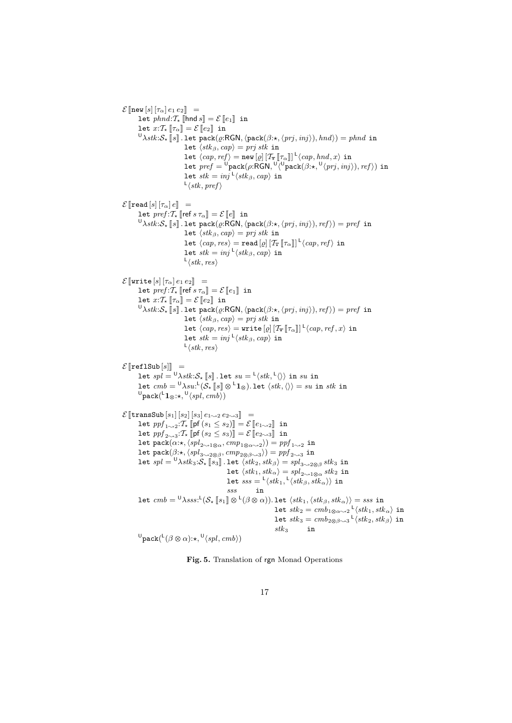$\mathcal{E}$  [new  $[s]$   $[\tau_{\alpha}]$   $e_1 e_2$ ] = let  $phnd:\mathcal{T}_{\star}$  [hnd  $s\mathbb{R}=\mathcal{E}\left[\mathbb{R}_{1}\right]$  in let  $x:\mathcal{T}_{\star}\llbracket \tau_{\alpha}\rrbracket = \mathcal{E}\llbracket e_2\rrbracket$  in  $U_{\lambda stk: \mathcal{S}_{\star}[\![s]\!]}$ . let pack $(\varrho:\mathsf{RGN}, \langle \mathsf{pack}(\beta{:}\star, \langle \mathit{prj}, \mathit{inj} \rangle), \mathit{hnd} \rangle) = \mathit{phnd}$  in let  $\langle stk_\beta, cap \rangle = p r j stk$  in let  $\langle cap, ref \rangle = new [\varrho] [\mathcal{T}_{\pi} [\![\tau_{\alpha}]\!]^{\perp} \langle cap, Ind, x \rangle$  in<br>let  $nref = \frac{U_{\text{N}}}{\sqrt{U_{\text{N}}}} [\varrho] \mathcal{F}_{\text{N}}^{\perp} \mathcal{F}_{\text{N}}^{\perp} \mathcal{F}_{\text{N}}^{\perp} \mathcal{F}_{\text{N}}^{\perp} \mathcal{F}_{\text{N}}^{\perp} \mathcal{F}_{\text{N}}^{\perp} \mathcal{F}_{\text{N}}^{\perp}$ let  $\textit{pref} = \overset{\textsf{U}}{=} \textsf{pack}(\rho: \textsf{RGN}, \overset{\textsf{U}}{'}\langle \textsf{pack}(\beta{:}\star, \overset{\textsf{U}}{'}\langle \textit{prj}, \textit{inj} \rangle), \textit{ref} \rangle)$  in let  $stk = inj$   $\left\langle$   $stk_{\beta}, cap \right\rangle$  in  $\mathsf{L}_{\langle stk,\,pref}\rangle$  $\mathcal{E}$  [read  $[s]$   $[\tau_{\alpha}]$   $e$ ] = let  $pref:\mathcal{T}_{\star}\llbracket\mathsf{ref}\ s\,\tau_{\alpha}\rrbracket = \mathcal{E}\llbracket e\rrbracket$  in  ${}^{\textsf{U}}\lambda stk{:}{\mathcal{S}}_\star \left[\!\left\lceil s \right\rceil \!\right].$ let pack $(\varrho{:}\mathsf{\widetilde{RGN}}, \langle \mathsf{pack}(\beta{:}\star, \langle \mathit{prj}, \mathit{inj} \rangle), \mathit{ref} \rangle) = \mathit{pref}$  in let  $\langle stk_\beta, cap \rangle = p r j st k$  in let  $\langle cap, res \rangle = \texttt{read} [Q] [\mathcal{T}_{\overline{\kappa}} [\mathcal{T}_{\alpha}]]^{\perp} \langle cap, ref \rangle$  in let  $stk = inj$   $\left\langle$   $stk_{\beta}, cap \right\rangle$  in  $\mathsf{L}_{\langle stk,\, res \rangle}$  $\mathcal{E}$  write  $[s]$   $[\tau_{\alpha}]$   $e_1$   $e_2$  = let  $pref:\mathcal{T}_{\star}\llbracket \mathsf{ref}\ s\,\tau_{\alpha}\rrbracket = \mathcal{E}\llbracket e_1\rrbracket$  in let  $x:\mathcal{T}_{\star}[\![\tau_{\alpha}]\!]=\mathcal{E}[\![e_2]\!]$  in  $^{\mathsf{U}}\lambda stk{:} \mathcal{S}_\star\left[\![s]\! \right].$ let pack $(\varrho{:}\mathsf{RGN}, \langle \mathsf{pack}(\beta{:}\star, \langle \mathit{prj}, \mathit{inj} \rangle), \mathit{ref} \rangle) = \mathit{pref}$  in let  $\langle stk_\beta, cap \rangle = p r j st k$  in let  $\langle cap, res \rangle = \text{write} [Q] [\mathcal{T}_{\overline{x}} [\mathcal{T}_{\alpha}]]^{\perp} \langle cap, ref, x \rangle$  in let  $stk = inj$   $\left\langle$   $stk_{\beta}, cap \right\rangle$  in  $\mathsf{L}_{\langle stk,\, res \rangle}$  $\mathcal{E} \left[ \text{reflSub}[s] \right] =$ <br>let spl =  $\sqrt{8}$   $\lambda$ sk: $\mathcal{S}_\star$   $[s]$ . let su =  $\frac{1}{8} \langle stk, \frac{1}{8} \rangle$  in su in let  $cmb = {}^{\mathsf{U}}\lambda s u: {}^{\mathsf{L}}(\mathcal{S}_*[[s]] \otimes {}^{\mathsf{L}}\mathbf{1}_{\otimes}).$  let  $\langle stk, \langle \rangle \rangle = su$  in  $stk$  in  $\mathtt{pack}({}^{\mathsf{L}}\mathbf{1}_{\otimes}\text{:}\star, {}^{\mathsf{U}}\langle{\mathit{spl},\mathit{cmb}}\rangle)$  $\mathcal{E}\left[\text{transSub}\left[s_{1}\right]\left[s_{2}\right]\left[s_{3}\right]e_{1\sim2}\,e_{2\sim3}\right]\;\;=\;\;$ let  $ppf_{1\rightsquigarrow 2}:\mathcal{T}_{\ast}$  [pf  $(s_1 \leq s_2)$ ] =  $\mathcal{E}$  [ $e_1 \rightsquigarrow 2$ ] in let  $ppf_{2\rightsquigarrow 3}:\mathcal{T}_{\star}$  [[pf  $(s_2 \leq s_3)$ ] =  $\mathcal{E}[e_{2\rightsquigarrow 3}]$  in let pack $(\alpha: \star, \langle spl_{2\sim 1\otimes \alpha}, cmp_{1\otimes \alpha \sim 2} \rangle) = ppf_{1\sim 2}$  in let pack $(\beta: \star, \langle spl_{3\rightarrow 2\otimes\beta}, cmp_{2\otimes\beta\rightarrow 3}) = ppf_{2\rightarrow 3}$  in let  $spl = {}^{0}\lambda stk_3: S_{\star}[[s_3]]$ . let  $\langle stk_2, stk_{\beta} \rangle = spl_{3\sim 2\otimes \beta} stk_3$  in let  $\langle stk_1, stk_{\alpha} \rangle = spl_{2 \sim 1 \otimes \alpha} stk_2$  in let  $sss = {}^{\mathsf{L}} \langle stk_1, {}^{\mathsf{L}} \langle stk_\beta, stk_\alpha \rangle \rangle$  in sss in let  $cmb = {}^{U} \lambda s s s : {}^{L} (\mathcal{S}_{\star} [\![s_1]\!] \otimes {}^{L} (\beta \otimes \alpha)).$  let  $\langle stk_1, \langle stk_\beta, stk_\alpha \rangle \rangle = s s s$  in let  $stk_2 = cmb_{1 \otimes \alpha \rightarrow 2} \frac{1}{s} \langle stk_1, stk_\alpha \rangle$  in let  $stk_3 = cmb_2 \otimes \beta \rightarrow 3$ <sup>L</sup> $\langle stk_2, stk_\beta \rangle$  in  $stk_3$  in  $^{\mathsf{U}}$ pack $(^{\mathsf{L}}(\beta\otimes\alpha):\star,^{\mathsf{U}}\langle spl,cmb\rangle)$ 

Fig. 5. Translation of rgn Monad Operations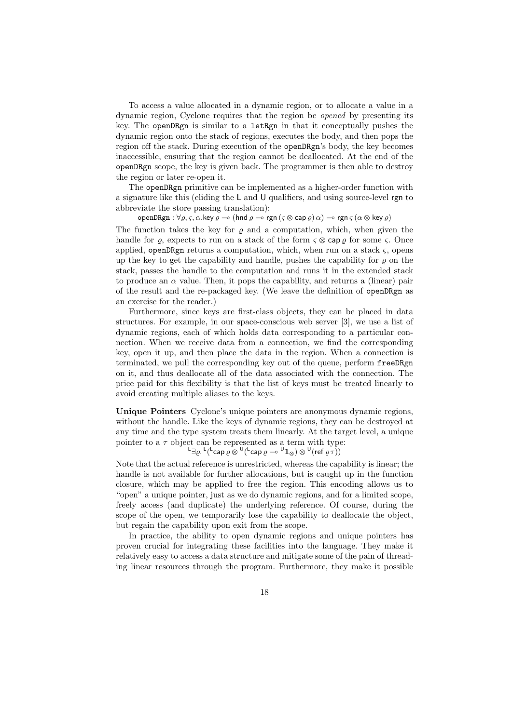To access a value allocated in a dynamic region, or to allocate a value in a dynamic region, Cyclone requires that the region be opened by presenting its key. The openDRgn is similar to a letRgn in that it conceptually pushes the dynamic region onto the stack of regions, executes the body, and then pops the region off the stack. During execution of the openDRgn's body, the key becomes inaccessible, ensuring that the region cannot be deallocated. At the end of the openDRgn scope, the key is given back. The programmer is then able to destroy the region or later re-open it.

The openDRgn primitive can be implemented as a higher-order function with a signature like this (eliding the L and U qualifiers, and using source-level rgn to abbreviate the store passing translation):

openDRgn :  $\forall \varrho, \varsigma, \alpha.$ key  $\varrho \multimap$  (hnd  $\varrho \multimap$  rgn  $(\varsigma \otimes \mathsf{cap} \varrho) \alpha$ )  $\multimap$  rgn  $\varsigma$   $(\alpha \otimes \mathsf{key} \varrho)$ The function takes the key for  $\rho$  and a computation, which, when given the handle for  $\rho$ , expects to run on a stack of the form  $\zeta \otimes$  cap  $\rho$  for some  $\zeta$ . Once applied, openDRgn returns a computation, which, when run on a stack  $\varsigma$ , opens up the key to get the capability and handle, pushes the capability for  $\rho$  on the stack, passes the handle to the computation and runs it in the extended stack to produce an  $\alpha$  value. Then, it pops the capability, and returns a (linear) pair of the result and the re-packaged key. (We leave the definition of openDRgn as an exercise for the reader.)

Furthermore, since keys are first-class objects, they can be placed in data structures. For example, in our space-conscious web server [3], we use a list of dynamic regions, each of which holds data corresponding to a particular connection. When we receive data from a connection, we find the corresponding key, open it up, and then place the data in the region. When a connection is terminated, we pull the corresponding key out of the queue, perform freeDRgn on it, and thus deallocate all of the data associated with the connection. The price paid for this flexibility is that the list of keys must be treated linearly to avoid creating multiple aliases to the keys.

Unique Pointers Cyclone's unique pointers are anonymous dynamic regions, without the handle. Like the keys of dynamic regions, they can be destroyed at any time and the type system treats them linearly. At the target level, a unique pointer to a  $\tau$  object can be represented as a term with type:<br> $\frac{L}{2\varrho} \cdot \frac{L}{L} (\log \varrho \otimes U)^L (\log \varrho \to U_{\infty}) \otimes U (\text{ref } \varrho \tau))$ 

Note that the actual reference is unrestricted, whereas the capability is linear; the handle is not available for further allocations, but is caught up in the function closure, which may be applied to free the region. This encoding allows us to "open" a unique pointer, just as we do dynamic regions, and for a limited scope, freely access (and duplicate) the underlying reference. Of course, during the scope of the open, we temporarily lose the capability to deallocate the object, but regain the capability upon exit from the scope.

In practice, the ability to open dynamic regions and unique pointers has proven crucial for integrating these facilities into the language. They make it relatively easy to access a data structure and mitigate some of the pain of threading linear resources through the program. Furthermore, they make it possible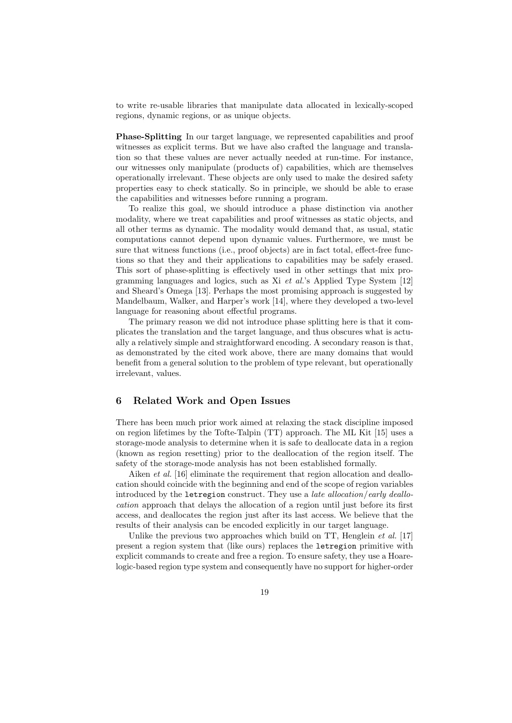to write re-usable libraries that manipulate data allocated in lexically-scoped regions, dynamic regions, or as unique objects.

Phase-Splitting In our target language, we represented capabilities and proof witnesses as explicit terms. But we have also crafted the language and translation so that these values are never actually needed at run-time. For instance, our witnesses only manipulate (products of) capabilities, which are themselves operationally irrelevant. These objects are only used to make the desired safety properties easy to check statically. So in principle, we should be able to erase the capabilities and witnesses before running a program.

To realize this goal, we should introduce a phase distinction via another modality, where we treat capabilities and proof witnesses as static objects, and all other terms as dynamic. The modality would demand that, as usual, static computations cannot depend upon dynamic values. Furthermore, we must be sure that witness functions (i.e., proof objects) are in fact total, effect-free functions so that they and their applications to capabilities may be safely erased. This sort of phase-splitting is effectively used in other settings that mix programming languages and logics, such as Xi et al.'s Applied Type System [12] and Sheard's Omega [13]. Perhaps the most promising approach is suggested by Mandelbaum, Walker, and Harper's work [14], where they developed a two-level language for reasoning about effectful programs.

The primary reason we did not introduce phase splitting here is that it complicates the translation and the target language, and thus obscures what is actually a relatively simple and straightforward encoding. A secondary reason is that, as demonstrated by the cited work above, there are many domains that would benefit from a general solution to the problem of type relevant, but operationally irrelevant, values.

#### 6 Related Work and Open Issues

There has been much prior work aimed at relaxing the stack discipline imposed on region lifetimes by the Tofte-Talpin (TT) approach. The ML Kit [15] uses a storage-mode analysis to determine when it is safe to deallocate data in a region (known as region resetting) prior to the deallocation of the region itself. The safety of the storage-mode analysis has not been established formally.

Aiken *et al.* [16] eliminate the requirement that region allocation and deallocation should coincide with the beginning and end of the scope of region variables introduced by the letregion construct. They use a late allocation/early deallocation approach that delays the allocation of a region until just before its first access, and deallocates the region just after its last access. We believe that the results of their analysis can be encoded explicitly in our target language.

Unlike the previous two approaches which build on  $TT$ , Henglein *et al.* [17] present a region system that (like ours) replaces the letregion primitive with explicit commands to create and free a region. To ensure safety, they use a Hoarelogic-based region type system and consequently have no support for higher-order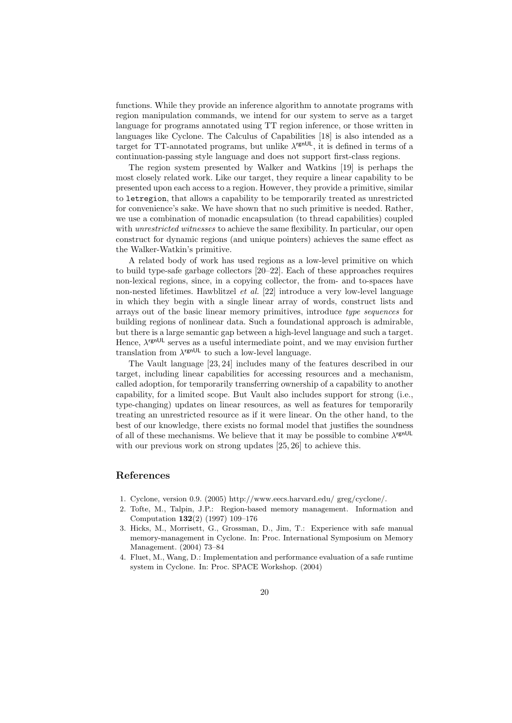functions. While they provide an inference algorithm to annotate programs with region manipulation commands, we intend for our system to serve as a target language for programs annotated using TT region inference, or those written in languages like Cyclone. The Calculus of Capabilities [18] is also intended as a target for TT-annotated programs, but unlike  $\lambda^{\text{rgnUL}}$ , it is defined in terms of a continuation-passing style language and does not support first-class regions.

The region system presented by Walker and Watkins [19] is perhaps the most closely related work. Like our target, they require a linear capability to be presented upon each access to a region. However, they provide a primitive, similar to letregion, that allows a capability to be temporarily treated as unrestricted for convenience's sake. We have shown that no such primitive is needed. Rather, we use a combination of monadic encapsulation (to thread capabilities) coupled with *unrestricted witnesses* to achieve the same flexibility. In particular, our open construct for dynamic regions (and unique pointers) achieves the same effect as the Walker-Watkin's primitive.

A related body of work has used regions as a low-level primitive on which to build type-safe garbage collectors [20–22]. Each of these approaches requires non-lexical regions, since, in a copying collector, the from- and to-spaces have non-nested lifetimes. Hawblitzel et al. [22] introduce a very low-level language in which they begin with a single linear array of words, construct lists and arrays out of the basic linear memory primitives, introduce type sequences for building regions of nonlinear data. Such a foundational approach is admirable, but there is a large semantic gap between a high-level language and such a target. Hence,  $\lambda^{\text{rgnUL}}$  serves as a useful intermediate point, and we may envision further translation from  $\lambda^{\text{rgnUL}}$  to such a low-level language.

The Vault language [23, 24] includes many of the features described in our target, including linear capabilities for accessing resources and a mechanism, called adoption, for temporarily transferring ownership of a capability to another capability, for a limited scope. But Vault also includes support for strong (i.e., type-changing) updates on linear resources, as well as features for temporarily treating an unrestricted resource as if it were linear. On the other hand, to the best of our knowledge, there exists no formal model that justifies the soundness of all of these mechanisms. We believe that it may be possible to combine  $\lambda^{\text{rgnUL}}$ with our previous work on strong updates [25, 26] to achieve this.

#### References

- 1. Cyclone, version 0.9. (2005) http://www.eecs.harvard.edu/ greg/cyclone/.
- 2. Tofte, M., Talpin, J.P.: Region-based memory management. Information and Computation 132(2) (1997) 109–176
- 3. Hicks, M., Morrisett, G., Grossman, D., Jim, T.: Experience with safe manual memory-management in Cyclone. In: Proc. International Symposium on Memory Management. (2004) 73–84
- 4. Fluet, M., Wang, D.: Implementation and performance evaluation of a safe runtime system in Cyclone. In: Proc. SPACE Workshop. (2004)